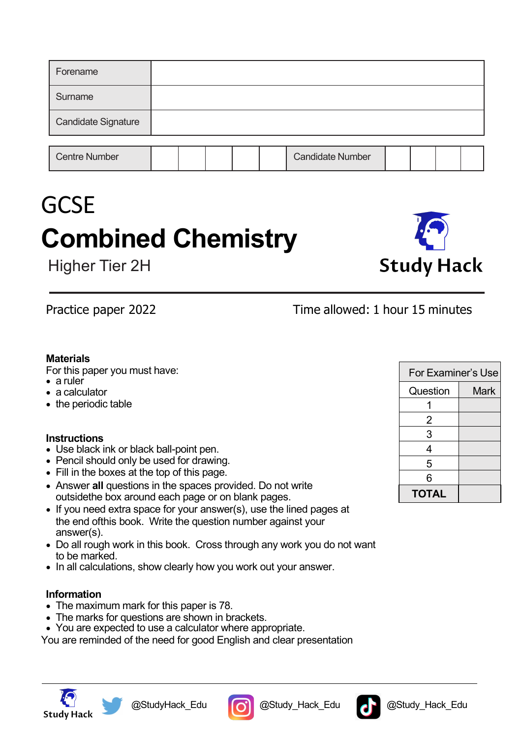| Forename                   |  |  |                         |  |  |
|----------------------------|--|--|-------------------------|--|--|
| Surname                    |  |  |                         |  |  |
| <b>Candidate Signature</b> |  |  |                         |  |  |
|                            |  |  |                         |  |  |
| <b>Centre Number</b>       |  |  | <b>Candidate Number</b> |  |  |

# **GCSE Combined Chemistry**

Higher Tier 2H

**Study Hack** 

## Practice paper 2022 Time allowed: 1 hour 15 minutes

### **Materials**

For this paper you must have:

- a ruler
- a calculator
- the periodic table

## **Instructions**

- Use black ink or black ball-point pen.
- Pencil should only be used for drawing.
- Fill in the boxes at the top of this page.
- Answer **all** questions in the spaces provided. Do not write outsidethe box around each page or on blank pages.
- If you need extra space for your answer(s), use the lined pages at the end ofthis book. Write the question number against your answer(s).
- Do all rough work in this book. Cross through any work you do not want to be marked.
- In all calculations, show clearly how you work out your answer.

## **Information**

- The maximum mark for this paper is 78.
- The marks for questions are shown in brackets.
- You are expected to use a calculator where appropriate.

You are reminded of the need for good English and clear presentation









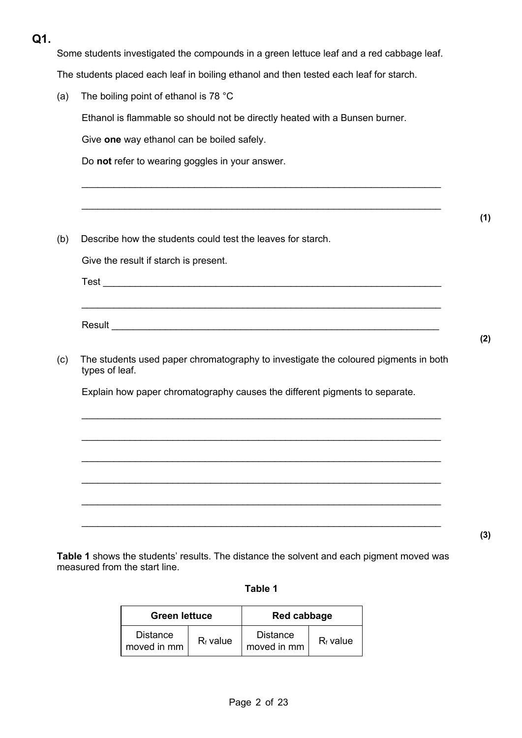## **Q1.**

Some students investigated the compounds in a green lettuce leaf and a red cabbage leaf.

The students placed each leaf in boiling ethanol and then tested each leaf for starch.

(a) The boiling point of ethanol is 78 °C

Ethanol is flammable so should not be directly heated with a Bunsen burner.

\_\_\_\_\_\_\_\_\_\_\_\_\_\_\_\_\_\_\_\_\_\_\_\_\_\_\_\_\_\_\_\_\_\_\_\_\_\_\_\_\_\_\_\_\_\_\_\_\_\_\_\_\_\_\_\_\_\_\_\_\_\_\_\_\_\_\_

\_\_\_\_\_\_\_\_\_\_\_\_\_\_\_\_\_\_\_\_\_\_\_\_\_\_\_\_\_\_\_\_\_\_\_\_\_\_\_\_\_\_\_\_\_\_\_\_\_\_\_\_\_\_\_\_\_\_\_\_\_\_\_\_\_\_\_

Give **one** way ethanol can be boiled safely.

Do **not** refer to wearing goggles in your answer.

(b) Describe how the students could test the leaves for starch.

Give the result if starch is present.

 $Test$ 

(c) The students used paper chromatography to investigate the coloured pigments in both types of leaf.

\_\_\_\_\_\_\_\_\_\_\_\_\_\_\_\_\_\_\_\_\_\_\_\_\_\_\_\_\_\_\_\_\_\_\_\_\_\_\_\_\_\_\_\_\_\_\_\_\_\_\_\_\_\_\_\_\_\_\_\_\_\_\_\_\_\_\_

 $\_$ 

\_\_\_\_\_\_\_\_\_\_\_\_\_\_\_\_\_\_\_\_\_\_\_\_\_\_\_\_\_\_\_\_\_\_\_\_\_\_\_\_\_\_\_\_\_\_\_\_\_\_\_\_\_\_\_\_\_\_\_\_\_\_\_\_\_\_\_

 $\_$ 

 $\_$ 

Explain how paper chromatography causes the different pigments to separate.

**(3)**

**Table 1** shows the students' results. The distance the solvent and each pigment moved was measured from the start line.

| Л<br>τ.<br>Ш |  |
|--------------|--|
|--------------|--|

| <b>Green lettuce</b>           |             | Red cabbage                    |             |
|--------------------------------|-------------|--------------------------------|-------------|
| <b>Distance</b><br>moved in mm | $R_f$ value | <b>Distance</b><br>moved in mm | $R_f$ value |

**(2)**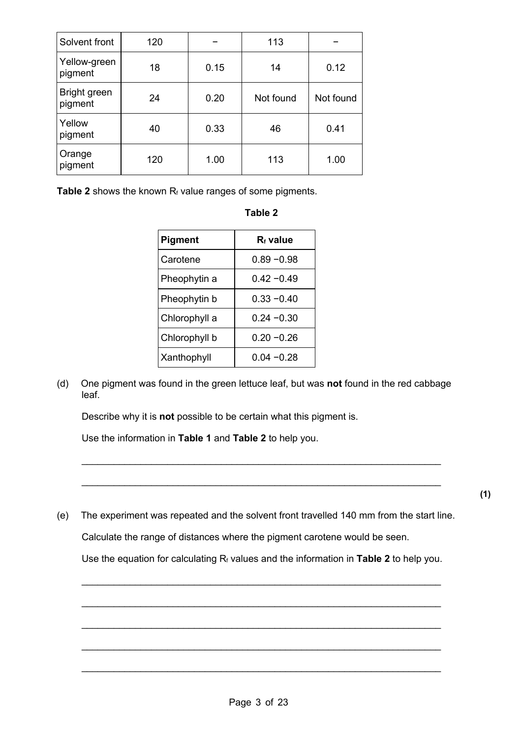| Solvent front           | 120 |      | 113       |           |
|-------------------------|-----|------|-----------|-----------|
| Yellow-green<br>pigment | 18  | 0.15 | 14        | 0.12      |
| Bright green<br>pigment | 24  | 0.20 | Not found | Not found |
| Yellow<br>pigment       | 40  | 0.33 | 46        | 0.41      |
| Orange<br>pigment       | 120 | 1.00 | 113       | 1.00      |

Table 2 shows the known R<sub>f</sub> value ranges of some pigments.

|--|

| <b>Pigment</b> | $R_f$ value   |
|----------------|---------------|
| Carotene       | $0.89 - 0.98$ |
| Pheophytin a   | በ 42 –በ 49    |
| Pheophytin b   | $0.33 - 0.40$ |
| Chlorophyll a  | $0.24 - 0.30$ |
| Chlorophyll b  | $0.20 - 0.26$ |
| Xanthophyll    | $0.04 - 0.28$ |

(d) One pigment was found in the green lettuce leaf, but was **not** found in the red cabbage leaf.

Describe why it is **not** possible to be certain what this pigment is.

Use the information in **Table 1** and **Table 2** to help you.

(e) The experiment was repeated and the solvent front travelled 140 mm from the start line. Calculate the range of distances where the pigment carotene would be seen.

 $\_$ 

 $\_$ 

Use the equation for calculating Rf values and the information in **Table 2** to help you.

 $\_$ 

\_\_\_\_\_\_\_\_\_\_\_\_\_\_\_\_\_\_\_\_\_\_\_\_\_\_\_\_\_\_\_\_\_\_\_\_\_\_\_\_\_\_\_\_\_\_\_\_\_\_\_\_\_\_\_\_\_\_\_\_\_\_\_\_\_\_\_

\_\_\_\_\_\_\_\_\_\_\_\_\_\_\_\_\_\_\_\_\_\_\_\_\_\_\_\_\_\_\_\_\_\_\_\_\_\_\_\_\_\_\_\_\_\_\_\_\_\_\_\_\_\_\_\_\_\_\_\_\_\_\_\_\_\_\_

 $\_$ 

 $\_$ 

**(1)**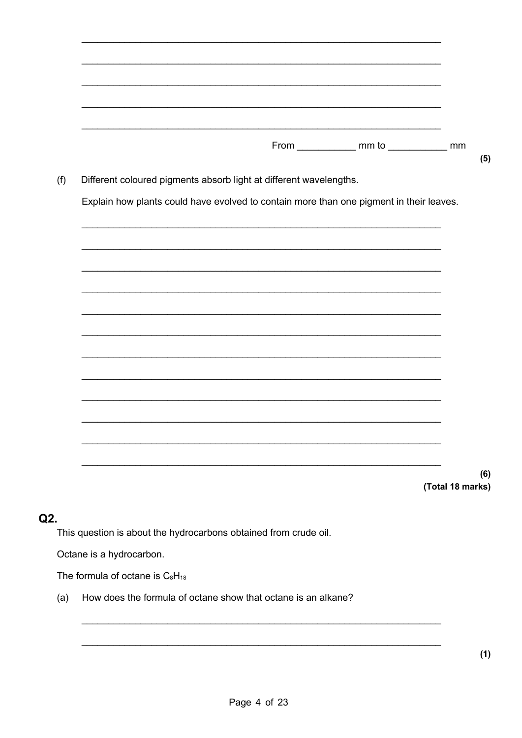| Different coloured pigments absorb light at different wavelengths. |  |                                                                                         |  |
|--------------------------------------------------------------------|--|-----------------------------------------------------------------------------------------|--|
|                                                                    |  | Explain how plants could have evolved to contain more than one pigment in their leaves. |  |
|                                                                    |  |                                                                                         |  |
|                                                                    |  |                                                                                         |  |
|                                                                    |  |                                                                                         |  |
|                                                                    |  |                                                                                         |  |
|                                                                    |  |                                                                                         |  |
|                                                                    |  |                                                                                         |  |
|                                                                    |  |                                                                                         |  |
|                                                                    |  |                                                                                         |  |
|                                                                    |  |                                                                                         |  |
|                                                                    |  |                                                                                         |  |

## $Q2.$

This question is about the hydrocarbons obtained from crude oil.

Octane is a hydrocarbon.

The formula of octane is C<sub>8</sub>H<sub>18</sub>

(a) How does the formula of octane show that octane is an alkane?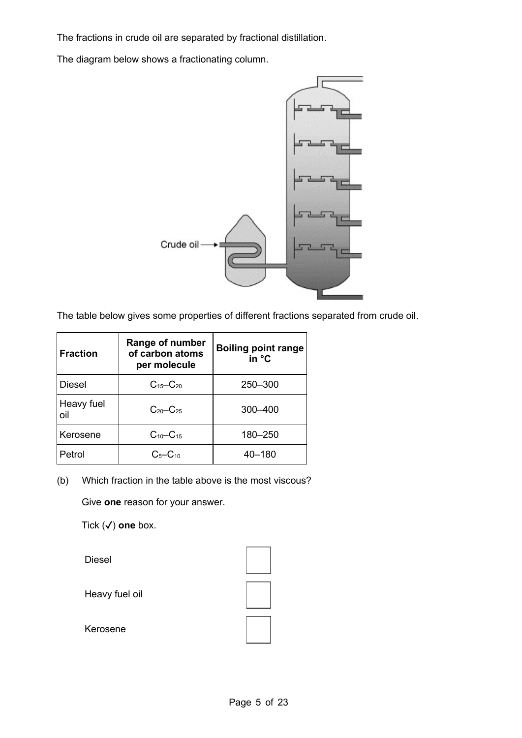The fractions in crude oil are separated by fractional distillation.

The diagram below shows a fractionating column.



The table below gives some properties of different fractions separated from crude oil.

| <b>Fraction</b>   | Range of number<br>of carbon atoms<br>per molecule | <b>Boiling point range</b><br>in °C |
|-------------------|----------------------------------------------------|-------------------------------------|
| <b>Diesel</b>     | $C_{15}$ - $C_{20}$                                | 250 - 300                           |
| Heavy fuel<br>oil | $C_{20}$ - $C_{25}$                                | 300-400                             |
| Kerosene          | $C_{10}$ - $C_{15}$                                | 180-250                             |
| Petrol            | $C5-C10$                                           | $40 - 180$                          |

(b) Which fraction in the table above is the most viscous?

Give **one** reason for your answer.

Tick (✓) **one** box.

Diesel

Heavy fuel oil

Kerosene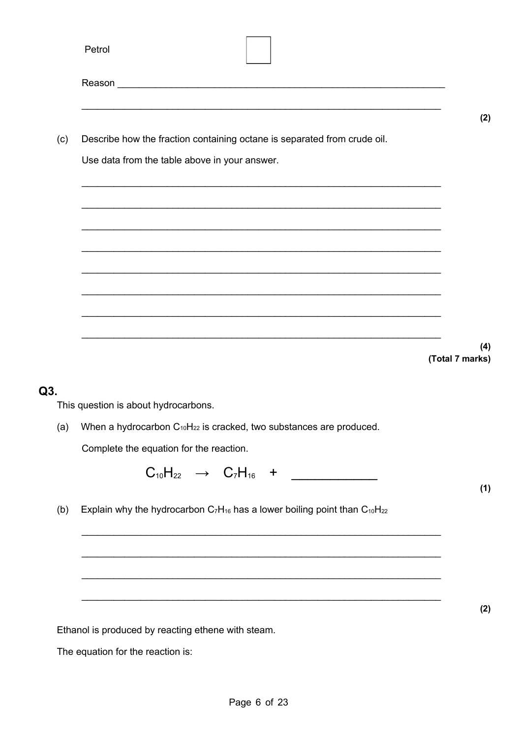| Describe how the fraction containing octane is separated from crude oil.                                             | (2)                                                                                                                                                                                                                                                                                                                                                                                                                                                                                                                                                                                      |
|----------------------------------------------------------------------------------------------------------------------|------------------------------------------------------------------------------------------------------------------------------------------------------------------------------------------------------------------------------------------------------------------------------------------------------------------------------------------------------------------------------------------------------------------------------------------------------------------------------------------------------------------------------------------------------------------------------------------|
|                                                                                                                      |                                                                                                                                                                                                                                                                                                                                                                                                                                                                                                                                                                                          |
|                                                                                                                      |                                                                                                                                                                                                                                                                                                                                                                                                                                                                                                                                                                                          |
|                                                                                                                      |                                                                                                                                                                                                                                                                                                                                                                                                                                                                                                                                                                                          |
|                                                                                                                      |                                                                                                                                                                                                                                                                                                                                                                                                                                                                                                                                                                                          |
|                                                                                                                      | (4)                                                                                                                                                                                                                                                                                                                                                                                                                                                                                                                                                                                      |
|                                                                                                                      |                                                                                                                                                                                                                                                                                                                                                                                                                                                                                                                                                                                          |
|                                                                                                                      |                                                                                                                                                                                                                                                                                                                                                                                                                                                                                                                                                                                          |
|                                                                                                                      |                                                                                                                                                                                                                                                                                                                                                                                                                                                                                                                                                                                          |
|                                                                                                                      |                                                                                                                                                                                                                                                                                                                                                                                                                                                                                                                                                                                          |
|                                                                                                                      | (1)                                                                                                                                                                                                                                                                                                                                                                                                                                                                                                                                                                                      |
|                                                                                                                      |                                                                                                                                                                                                                                                                                                                                                                                                                                                                                                                                                                                          |
|                                                                                                                      |                                                                                                                                                                                                                                                                                                                                                                                                                                                                                                                                                                                          |
|                                                                                                                      | (2)                                                                                                                                                                                                                                                                                                                                                                                                                                                                                                                                                                                      |
|                                                                                                                      |                                                                                                                                                                                                                                                                                                                                                                                                                                                                                                                                                                                          |
|                                                                                                                      |                                                                                                                                                                                                                                                                                                                                                                                                                                                                                                                                                                                          |
| This question is about hydrocarbons.<br>Complete the equation for the reaction.<br>The equation for the reaction is: | Use data from the table above in your answer.<br>(Total 7 marks)<br>When a hydrocarbon $C_{10}H_{22}$ is cracked, two substances are produced.<br>$C_{10}H_{22} \rightarrow C_7H_{16} +$<br>Explain why the hydrocarbon $C_7H_{16}$ has a lower boiling point than $C_{10}H_{22}$<br><u> 1989 - Jan James James James James James James James James James James James James James James James James J</u><br><u> 1989 - Johann Harry Harry Harry Harry Harry Harry Harry Harry Harry Harry Harry Harry Harry Harry Harry Harry</u><br>Ethanol is produced by reacting ethene with steam. |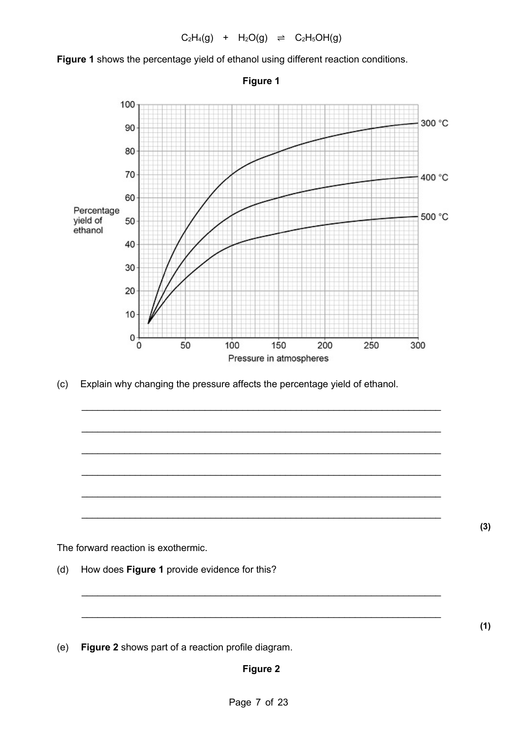

**Figure 1** shows the percentage yield of ethanol using different reaction conditions.

(c) Explain why changing the pressure affects the percentage yield of ethanol.

\_\_\_\_\_\_\_\_\_\_\_\_\_\_\_\_\_\_\_\_\_\_\_\_\_\_\_\_\_\_\_\_\_\_\_\_\_\_\_\_\_\_\_\_\_\_\_\_\_\_\_\_\_\_\_\_\_\_\_\_\_\_\_\_\_\_\_

\_\_\_\_\_\_\_\_\_\_\_\_\_\_\_\_\_\_\_\_\_\_\_\_\_\_\_\_\_\_\_\_\_\_\_\_\_\_\_\_\_\_\_\_\_\_\_\_\_\_\_\_\_\_\_\_\_\_\_\_\_\_\_\_\_\_\_

\_\_\_\_\_\_\_\_\_\_\_\_\_\_\_\_\_\_\_\_\_\_\_\_\_\_\_\_\_\_\_\_\_\_\_\_\_\_\_\_\_\_\_\_\_\_\_\_\_\_\_\_\_\_\_\_\_\_\_\_\_\_\_\_\_\_\_

\_\_\_\_\_\_\_\_\_\_\_\_\_\_\_\_\_\_\_\_\_\_\_\_\_\_\_\_\_\_\_\_\_\_\_\_\_\_\_\_\_\_\_\_\_\_\_\_\_\_\_\_\_\_\_\_\_\_\_\_\_\_\_\_\_\_\_

\_\_\_\_\_\_\_\_\_\_\_\_\_\_\_\_\_\_\_\_\_\_\_\_\_\_\_\_\_\_\_\_\_\_\_\_\_\_\_\_\_\_\_\_\_\_\_\_\_\_\_\_\_\_\_\_\_\_\_\_\_\_\_\_\_\_\_

 $\_$ 

 $\_$ 

 $\_$ 

The forward reaction is exothermic.

(d) How does **Figure 1** provide evidence for this?

(e) **Figure 2** shows part of a reaction profile diagram.

**(1)**

**(3)**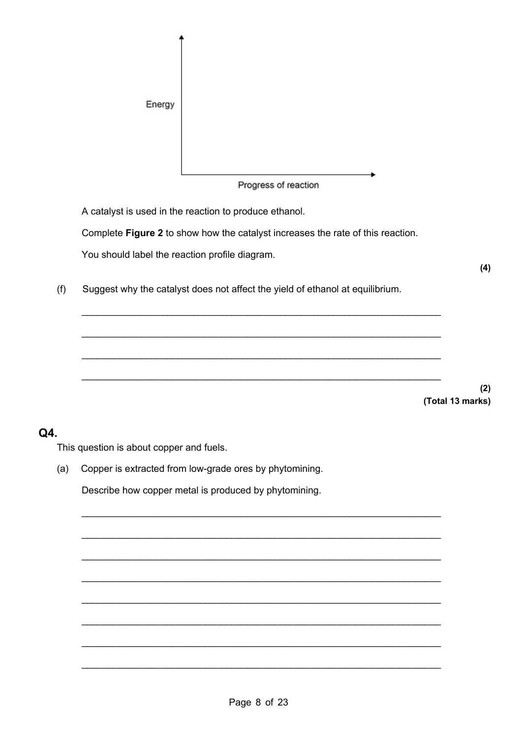

Progress of reaction

A catalyst is used in the reaction to produce ethanol.

Complete **Figure 2** to show how the catalyst increases the rate of this reaction.

 $\_$ 

 $\_$ 

 $\_$ 

 $\_$ 

 $\_$ 

 $\_$ 

\_\_\_\_\_\_\_\_\_\_\_\_\_\_\_\_\_\_\_\_\_\_\_\_\_\_\_\_\_\_\_\_\_\_\_\_\_\_\_\_\_\_\_\_\_\_\_\_\_\_\_\_\_\_\_\_\_\_\_\_\_\_\_\_\_\_\_

 $\_$ 

 $\_$ 

\_\_\_\_\_\_\_\_\_\_\_\_\_\_\_\_\_\_\_\_\_\_\_\_\_\_\_\_\_\_\_\_\_\_\_\_\_\_\_\_\_\_\_\_\_\_\_\_\_\_\_\_\_\_\_\_\_\_\_\_\_\_\_\_\_\_\_

You should label the reaction profile diagram.

(f) Suggest why the catalyst does not affect the yield of ethanol at equilibrium.

**(2) (Total 13 marks)**

**(4)**

#### **Q4.**

This question is about copper and fuels.

(a) Copper is extracted from low-grade ores by phytomining.

Describe how copper metal is produced by phytomining.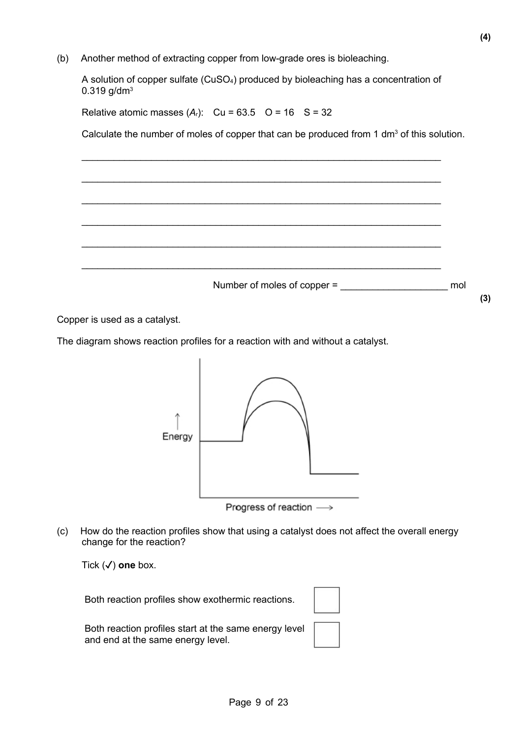(b) Another method of extracting copper from low-grade ores is bioleaching.

A solution of copper sulfate (CuSO4) produced by bioleaching has a concentration of  $0.319$  g/dm<sup>3</sup>

Relative atomic masses  $(A_r)$ : Cu = 63.5 O = 16 S = 32

Calculate the number of moles of copper that can be produced from 1 dm<sup>3</sup> of this solution.



Copper is used as a catalyst.

The diagram shows reaction profiles for a reaction with and without a catalyst.



Progress of reaction ->

(c) How do the reaction profiles show that using a catalyst does not affect the overall energy change for the reaction?

Tick (✓) **one** box.

Both reaction profiles show exothermic reactions.

Both reaction profiles start at the same energy level and end at the same energy level.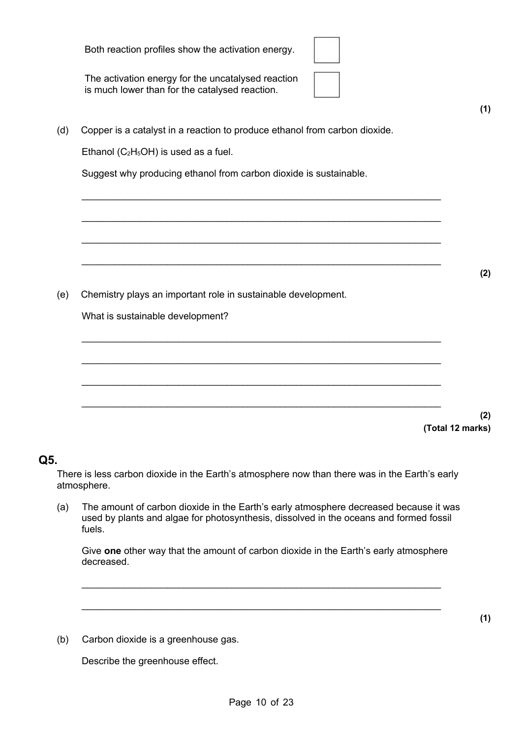|                                                                                                      | (Tot |
|------------------------------------------------------------------------------------------------------|------|
|                                                                                                      |      |
|                                                                                                      |      |
|                                                                                                      |      |
| What is sustainable development?                                                                     |      |
| Chemistry plays an important role in sustainable development.                                        |      |
|                                                                                                      |      |
|                                                                                                      |      |
| Suggest why producing ethanol from carbon dioxide is sustainable.                                    |      |
| Ethanol ( $C_2H_5OH$ ) is used as a fuel.                                                            |      |
| Copper is a catalyst in a reaction to produce ethanol from carbon dioxide.                           |      |
| The activation energy for the uncatalysed reaction<br>is much lower than for the catalysed reaction. |      |
| Both reaction profiles show the activation energy.                                                   |      |
|                                                                                                      |      |

**(1)**

**(2)**

**(2)**

**(1)**

**(Total 12 marks)**

## **Q5.**

There is less carbon dioxide in the Earth's atmosphere now than there was in the Earth's early atmosphere.

(a) The amount of carbon dioxide in the Earth's early atmosphere decreased because it was used by plants and algae for photosynthesis, dissolved in the oceans and formed fossil fuels.

Give **one** other way that the amount of carbon dioxide in the Earth's early atmosphere decreased.

 $\_$ 

(b) Carbon dioxide is a greenhouse gas.

Describe the greenhouse effect.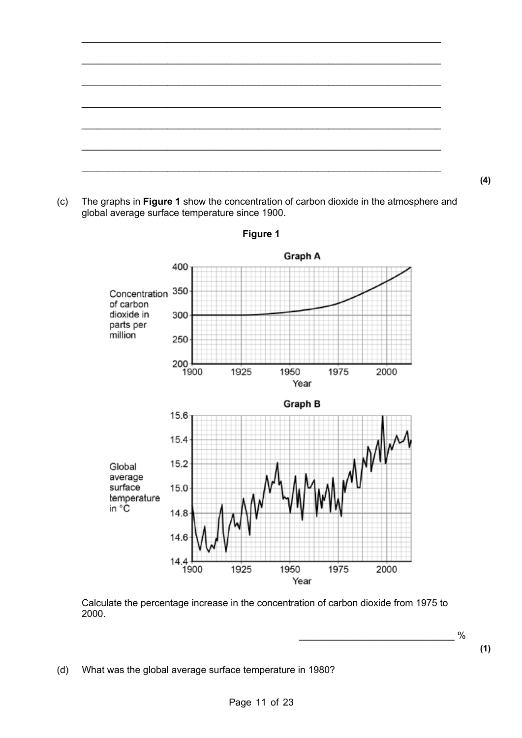

(c) The graphs in **Figure 1** show the concentration of carbon dioxide in the atmosphere and global average surface temperature since 1900.



**Figure 1**

Calculate the percentage increase in the concentration of carbon dioxide from 1975 to 2000.

\_\_\_\_\_\_\_\_\_\_\_\_\_\_\_\_\_\_\_\_\_\_\_\_\_\_\_\_\_ %

**(4)**

**(1)**

(d) What was the global average surface temperature in 1980?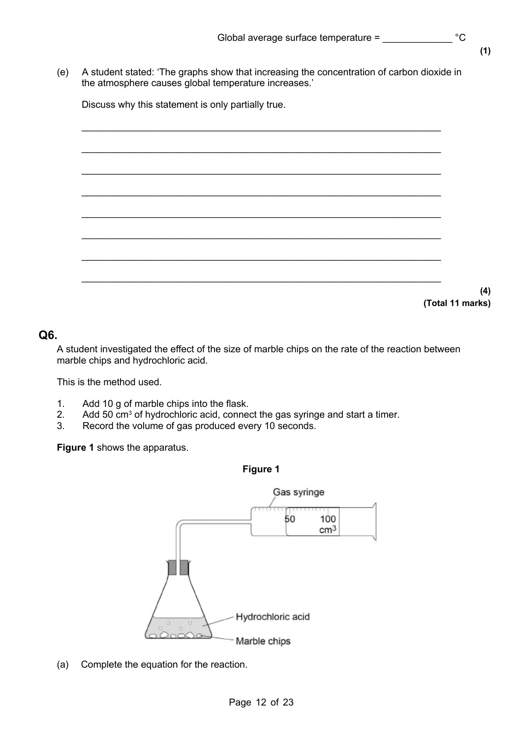**(1)**

**(4)**

**(Total 11 marks)**

(e) A student stated: 'The graphs show that increasing the concentration of carbon dioxide in the atmosphere causes global temperature increases.'

Discuss why this statement is only partially true.

#### **Q6.**

A student investigated the effect of the size of marble chips on the rate of the reaction between marble chips and hydrochloric acid.

This is the method used.

- 1. Add 10 g of marble chips into the flask.
- 2. Add 50 cm<sup>3</sup> of hydrochloric acid, connect the gas syringe and start a timer.
- 3. Record the volume of gas produced every 10 seconds.

**Figure 1** shows the apparatus.



(a) Complete the equation for the reaction.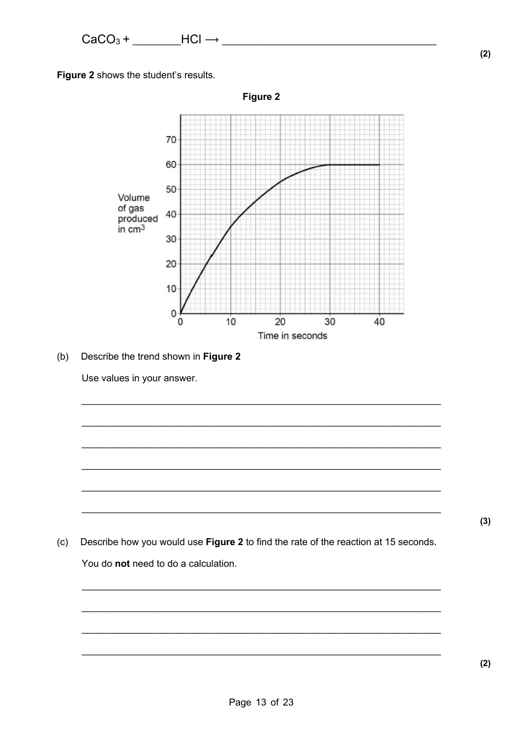Figure 2 shows the student's results.



(b) Describe the trend shown in Figure 2

Use values in your answer.

(c) Describe how you would use Figure 2 to find the rate of the reaction at 15 seconds. You do not need to do a calculation.

 $(2)$ 

 $(2)$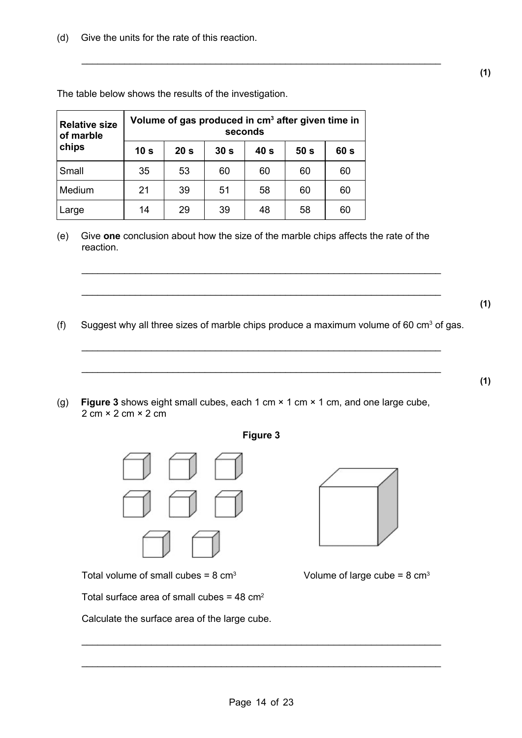(d) Give the units for the rate of this reaction.

| <b>Relative size</b><br>of marble | Volume of gas produced in cm <sup>3</sup> after given time in<br>seconds |                 |                 |                 |                 |                 |  |
|-----------------------------------|--------------------------------------------------------------------------|-----------------|-----------------|-----------------|-----------------|-----------------|--|
| chips                             | 10 <sub>s</sub>                                                          | 20 <sub>s</sub> | 30 <sub>s</sub> | 40 <sub>s</sub> | 50 <sub>s</sub> | 60 <sub>s</sub> |  |
| Small                             | 35                                                                       | 53              | 60              | 60              | 60              | 60              |  |
| Medium                            | 21                                                                       | 39              | 51              | 58              | 60              | 60              |  |
| Large                             | 14                                                                       | 29              | 39              | 48              | 58              | 60              |  |

The table below shows the results of the investigation.

(e) Give **one** conclusion about how the size of the marble chips affects the rate of the reaction.

\_\_\_\_\_\_\_\_\_\_\_\_\_\_\_\_\_\_\_\_\_\_\_\_\_\_\_\_\_\_\_\_\_\_\_\_\_\_\_\_\_\_\_\_\_\_\_\_\_\_\_\_\_\_\_\_\_\_\_\_\_\_\_\_\_\_\_

(f) Suggest why all three sizes of marble chips produce a maximum volume of 60 cm<sup>3</sup> of gas.

 $\_$ 

 $\_$ 

\_\_\_\_\_\_\_\_\_\_\_\_\_\_\_\_\_\_\_\_\_\_\_\_\_\_\_\_\_\_\_\_\_\_\_\_\_\_\_\_\_\_\_\_\_\_\_\_\_\_\_\_\_\_\_\_\_\_\_\_\_\_\_\_\_\_\_

\_\_\_\_\_\_\_\_\_\_\_\_\_\_\_\_\_\_\_\_\_\_\_\_\_\_\_\_\_\_\_\_\_\_\_\_\_\_\_\_\_\_\_\_\_\_\_\_\_\_\_\_\_\_\_\_\_\_\_\_\_\_\_\_\_\_\_

(g) **Figure 3** shows eight small cubes, each 1 cm × 1 cm × 1 cm, and one large cube,  $2 \text{ cm} \times 2 \text{ cm} \times 2 \text{ cm}$ 



Total volume of small cubes =  $8 \text{ cm}^3$  Volume of large cube =  $8 \text{ cm}^3$ 

Total surface area of small cubes =  $48 \text{ cm}^2$ 

Calculate the surface area of the large cube.





**(1)**

 $\mathcal{L}_\text{max}$  and  $\mathcal{L}_\text{max}$  and  $\mathcal{L}_\text{max}$  and  $\mathcal{L}_\text{max}$  and  $\mathcal{L}_\text{max}$  and  $\mathcal{L}_\text{max}$ 

 $\_$ 

**(1)**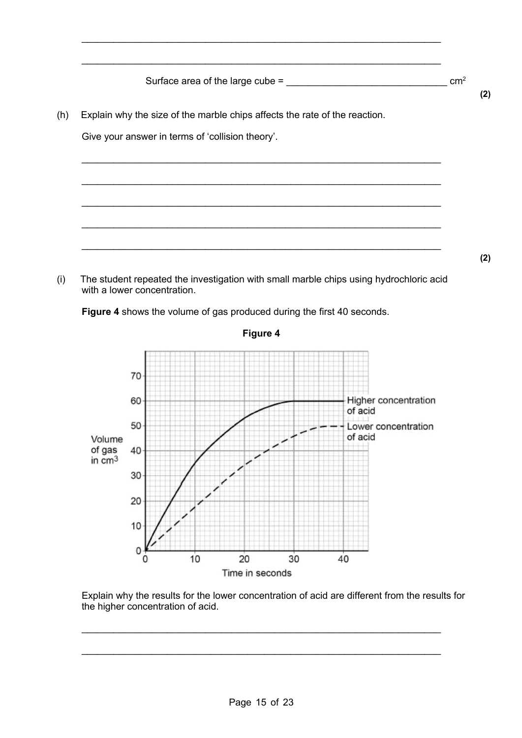Surface area of the large cube =  $\frac{2}{1}$ 

 $\_$ 

\_\_\_\_\_\_\_\_\_\_\_\_\_\_\_\_\_\_\_\_\_\_\_\_\_\_\_\_\_\_\_\_\_\_\_\_\_\_\_\_\_\_\_\_\_\_\_\_\_\_\_\_\_\_\_\_\_\_\_\_\_\_\_\_\_\_\_

\_\_\_\_\_\_\_\_\_\_\_\_\_\_\_\_\_\_\_\_\_\_\_\_\_\_\_\_\_\_\_\_\_\_\_\_\_\_\_\_\_\_\_\_\_\_\_\_\_\_\_\_\_\_\_\_\_\_\_\_\_\_\_\_\_\_\_

\_\_\_\_\_\_\_\_\_\_\_\_\_\_\_\_\_\_\_\_\_\_\_\_\_\_\_\_\_\_\_\_\_\_\_\_\_\_\_\_\_\_\_\_\_\_\_\_\_\_\_\_\_\_\_\_\_\_\_\_\_\_\_\_\_\_\_

\_\_\_\_\_\_\_\_\_\_\_\_\_\_\_\_\_\_\_\_\_\_\_\_\_\_\_\_\_\_\_\_\_\_\_\_\_\_\_\_\_\_\_\_\_\_\_\_\_\_\_\_\_\_\_\_\_\_\_\_\_\_\_\_\_\_\_

\_\_\_\_\_\_\_\_\_\_\_\_\_\_\_\_\_\_\_\_\_\_\_\_\_\_\_\_\_\_\_\_\_\_\_\_\_\_\_\_\_\_\_\_\_\_\_\_\_\_\_\_\_\_\_\_\_\_\_\_\_\_\_\_\_\_\_

 $\_$ 

**(2)**

**(2)**

(h) Explain why the size of the marble chips affects the rate of the reaction.

Give your answer in terms of 'collision theory'.

(i) The student repeated the investigation with small marble chips using hydrochloric acid with a lower concentration.

**Figure 4** shows the volume of gas produced during the first 40 seconds.



Explain why the results for the lower concentration of acid are different from the results for the higher concentration of acid.

\_\_\_\_\_\_\_\_\_\_\_\_\_\_\_\_\_\_\_\_\_\_\_\_\_\_\_\_\_\_\_\_\_\_\_\_\_\_\_\_\_\_\_\_\_\_\_\_\_\_\_\_\_\_\_\_\_\_\_\_\_\_\_\_\_\_\_

\_\_\_\_\_\_\_\_\_\_\_\_\_\_\_\_\_\_\_\_\_\_\_\_\_\_\_\_\_\_\_\_\_\_\_\_\_\_\_\_\_\_\_\_\_\_\_\_\_\_\_\_\_\_\_\_\_\_\_\_\_\_\_\_\_\_\_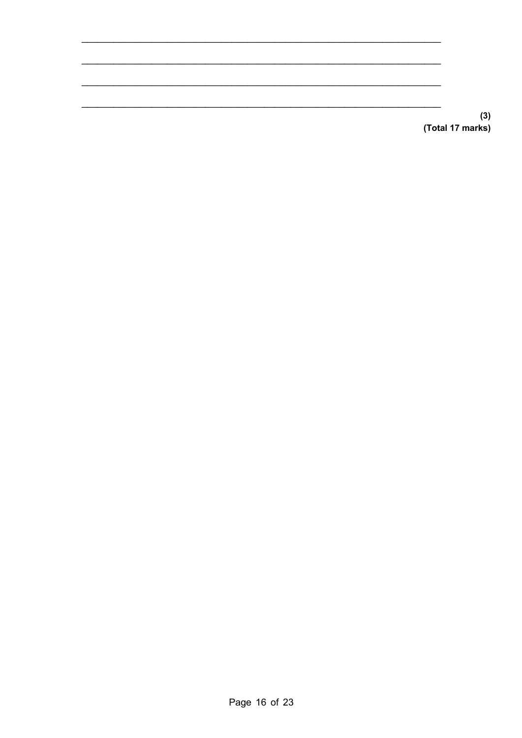$(3)$ (Total 17 marks)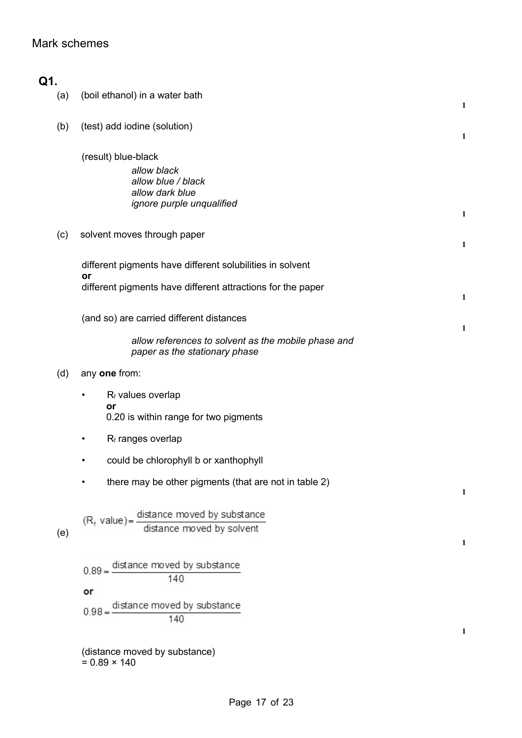## Mark schemes

| Q1. |                                                                                                          |              |
|-----|----------------------------------------------------------------------------------------------------------|--------------|
| (a) | (boil ethanol) in a water bath                                                                           | 1            |
| (b) | (test) add iodine (solution)                                                                             | $\mathbf{1}$ |
|     | (result) blue-black<br>allow black<br>allow blue / black<br>allow dark blue<br>ignore purple unqualified | 1            |
| (c) | solvent moves through paper                                                                              | 1            |
|     | different pigments have different solubilities in solvent<br>or                                          |              |
|     | different pigments have different attractions for the paper                                              | 1            |
|     | (and so) are carried different distances                                                                 | 1            |
|     | allow references to solvent as the mobile phase and<br>paper as the stationary phase                     |              |
| (d) | any one from:                                                                                            |              |
|     | R <sub>f</sub> values overlap<br>$\bullet$<br>or<br>0.20 is within range for two pigments                |              |
|     | R <sub>f</sub> ranges overlap                                                                            |              |
|     | could be chlorophyll b or xanthophyll                                                                    |              |
|     | there may be other pigments (that are not in table 2)                                                    | 1            |
| (e) | $(R_f$ value) = $\frac{distance \text{ moved by substance}}{distance \text{ moved by solvent}}$          | 1            |
|     | distance moved by substance<br>$0.89 = -$<br>140                                                         |              |
|     | or                                                                                                       |              |
|     | distance moved by substance<br>$0.98 = -$<br>140                                                         |              |
|     | (distance moved by substance)<br>$= 0.89 \times 140$                                                     | 1            |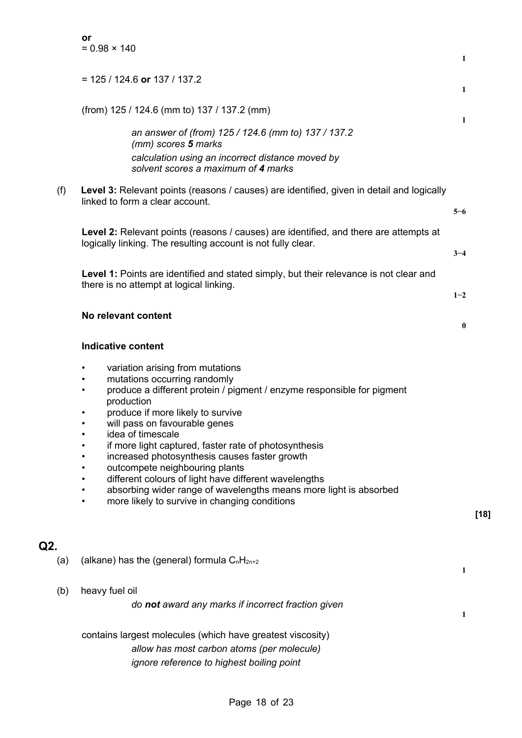|     | or<br>$= 0.98 \times 140$                                                                                                                                                                                                                                                                                                                                                                                                                                                                                                                                                                                  | 1                |        |
|-----|------------------------------------------------------------------------------------------------------------------------------------------------------------------------------------------------------------------------------------------------------------------------------------------------------------------------------------------------------------------------------------------------------------------------------------------------------------------------------------------------------------------------------------------------------------------------------------------------------------|------------------|--------|
|     | $= 125 / 124.6$ or 137 / 137.2                                                                                                                                                                                                                                                                                                                                                                                                                                                                                                                                                                             | 1                |        |
|     | (from) 125 / 124.6 (mm to) 137 / 137.2 (mm)                                                                                                                                                                                                                                                                                                                                                                                                                                                                                                                                                                | 1                |        |
|     | an answer of (from) 125 / 124.6 (mm to) 137 / 137.2<br>(mm) scores 5 marks<br>calculation using an incorrect distance moved by<br>solvent scores a maximum of 4 marks                                                                                                                                                                                                                                                                                                                                                                                                                                      |                  |        |
| (f) | Level 3: Relevant points (reasons / causes) are identified, given in detail and logically<br>linked to form a clear account.                                                                                                                                                                                                                                                                                                                                                                                                                                                                               | $5 - 6$          |        |
|     | Level 2: Relevant points (reasons / causes) are identified, and there are attempts at<br>logically linking. The resulting account is not fully clear.                                                                                                                                                                                                                                                                                                                                                                                                                                                      | $3 - 4$          |        |
|     | Level 1: Points are identified and stated simply, but their relevance is not clear and<br>there is no attempt at logical linking.                                                                                                                                                                                                                                                                                                                                                                                                                                                                          | $1 - 2$          |        |
|     | No relevant content                                                                                                                                                                                                                                                                                                                                                                                                                                                                                                                                                                                        | $\boldsymbol{0}$ |        |
|     | <b>Indicative content</b>                                                                                                                                                                                                                                                                                                                                                                                                                                                                                                                                                                                  |                  |        |
|     | variation arising from mutations<br>٠<br>mutations occurring randomly<br>produce a different protein / pigment / enzyme responsible for pigment<br>٠<br>production<br>produce if more likely to survive<br>will pass on favourable genes<br>idea of timescale<br>٠<br>if more light captured, faster rate of photosynthesis<br>increased photosynthesis causes faster growth<br>outcompete neighbouring plants<br>different colours of light have different wavelengths<br>absorbing wider range of wavelengths means more light is absorbed<br>more likely to survive in changing conditions<br>$\bullet$ |                  | $[18]$ |
| Q2. |                                                                                                                                                                                                                                                                                                                                                                                                                                                                                                                                                                                                            |                  |        |
| (a) | (alkane) has the (general) formula $C_nH_{2n+2}$                                                                                                                                                                                                                                                                                                                                                                                                                                                                                                                                                           | 1                |        |
| (b) | heavy fuel oil<br>do not award any marks if incorrect fraction given                                                                                                                                                                                                                                                                                                                                                                                                                                                                                                                                       | 1                |        |
|     | contains largest molecules (which have greatest viscosity)<br>allow has most carbon atoms (per molecule)<br>ignore reference to highest boiling point                                                                                                                                                                                                                                                                                                                                                                                                                                                      |                  |        |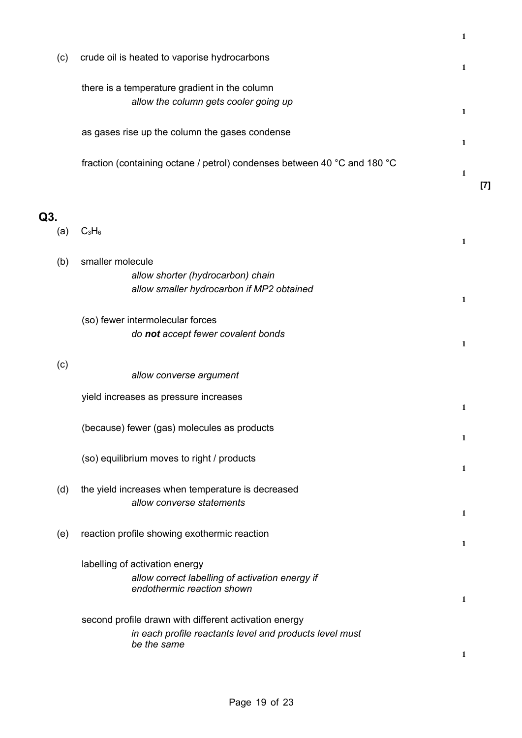|            |                                                                                                                                 | 1                                                                                                                                                                                                  |
|------------|---------------------------------------------------------------------------------------------------------------------------------|----------------------------------------------------------------------------------------------------------------------------------------------------------------------------------------------------|
| (c)        | crude oil is heated to vaporise hydrocarbons                                                                                    | 1                                                                                                                                                                                                  |
|            | there is a temperature gradient in the column<br>allow the column gets cooler going up                                          | 1                                                                                                                                                                                                  |
|            | as gases rise up the column the gases condense                                                                                  | 1                                                                                                                                                                                                  |
|            | fraction (containing octane / petrol) condenses between 40 °C and 180 °C                                                        | $\mathbf{1}$                                                                                                                                                                                       |
|            |                                                                                                                                 | $[7] \centering% \includegraphics[width=1\textwidth]{images/TransY.pdf} \caption{The first two different values of $d=3$ and $d=4$ (left) and $d=5$ (right) and $d=6$ (right).} \label{fig:class}$ |
| Q3.<br>(a) | $C_3H_6$                                                                                                                        | $\mathbf{1}$                                                                                                                                                                                       |
| (b)        | smaller molecule<br>allow shorter (hydrocarbon) chain<br>allow smaller hydrocarbon if MP2 obtained                              | 1                                                                                                                                                                                                  |
|            | (so) fewer intermolecular forces<br>do not accept fewer covalent bonds                                                          | 1                                                                                                                                                                                                  |
| (c)        | allow converse argument                                                                                                         |                                                                                                                                                                                                    |
|            | yield increases as pressure increases                                                                                           | 1                                                                                                                                                                                                  |
|            | (because) fewer (gas) molecules as products                                                                                     | 1                                                                                                                                                                                                  |
|            | (so) equilibrium moves to right / products                                                                                      | 1                                                                                                                                                                                                  |
| (d)        | the yield increases when temperature is decreased<br>allow converse statements                                                  | 1                                                                                                                                                                                                  |
| (e)        | reaction profile showing exothermic reaction                                                                                    | 1                                                                                                                                                                                                  |
|            | labelling of activation energy<br>allow correct labelling of activation energy if<br>endothermic reaction shown                 | 1                                                                                                                                                                                                  |
|            | second profile drawn with different activation energy<br>in each profile reactants level and products level must<br>be the same | 1                                                                                                                                                                                                  |
|            |                                                                                                                                 |                                                                                                                                                                                                    |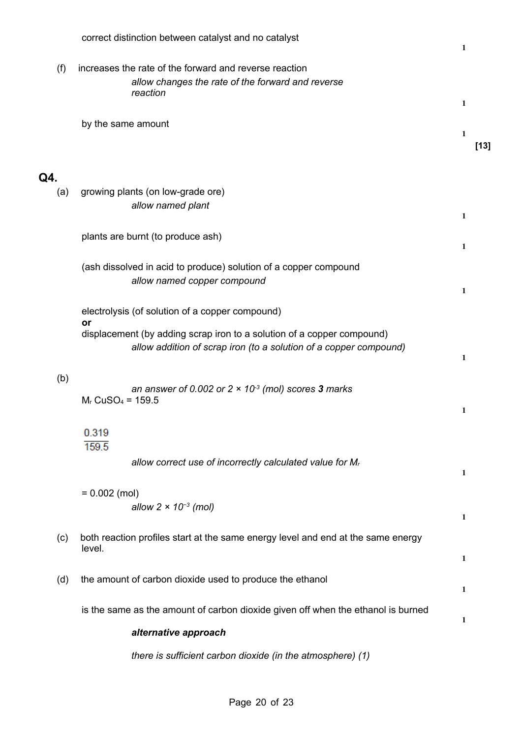|            | correct distinction between catalyst and no catalyst                                                                                                                                                 | 1           |
|------------|------------------------------------------------------------------------------------------------------------------------------------------------------------------------------------------------------|-------------|
| (f)        | increases the rate of the forward and reverse reaction<br>allow changes the rate of the forward and reverse<br>reaction                                                                              | 1           |
|            | by the same amount                                                                                                                                                                                   | 1<br>$[13]$ |
| Q4.<br>(a) | growing plants (on low-grade ore)<br>allow named plant                                                                                                                                               | 1           |
|            | plants are burnt (to produce ash)                                                                                                                                                                    | 1           |
|            | (ash dissolved in acid to produce) solution of a copper compound<br>allow named copper compound                                                                                                      | 1           |
|            | electrolysis (of solution of a copper compound)<br>or<br>displacement (by adding scrap iron to a solution of a copper compound)<br>allow addition of scrap iron (to a solution of a copper compound) | 1           |
| (b)        | an answer of 0.002 or $2 \times 10^3$ (mol) scores 3 marks<br>$Mr$ CuSO <sub>4</sub> = 159.5                                                                                                         | 1           |
|            | 0.319<br>159.5                                                                                                                                                                                       |             |
|            | allow correct use of incorrectly calculated value for Mr                                                                                                                                             | 1           |
|            | $= 0.002$ (mol)<br>allow $2 \times 10^{-3}$ (mol)                                                                                                                                                    | 1           |
| (c)        | both reaction profiles start at the same energy level and end at the same energy<br>level.                                                                                                           | 1           |
| (d)        | the amount of carbon dioxide used to produce the ethanol                                                                                                                                             | 1           |
|            | is the same as the amount of carbon dioxide given off when the ethanol is burned                                                                                                                     | 1           |
|            | alternative approach                                                                                                                                                                                 |             |
|            | there is sufficient carbon dioxide (in the atmosphere) (1)                                                                                                                                           |             |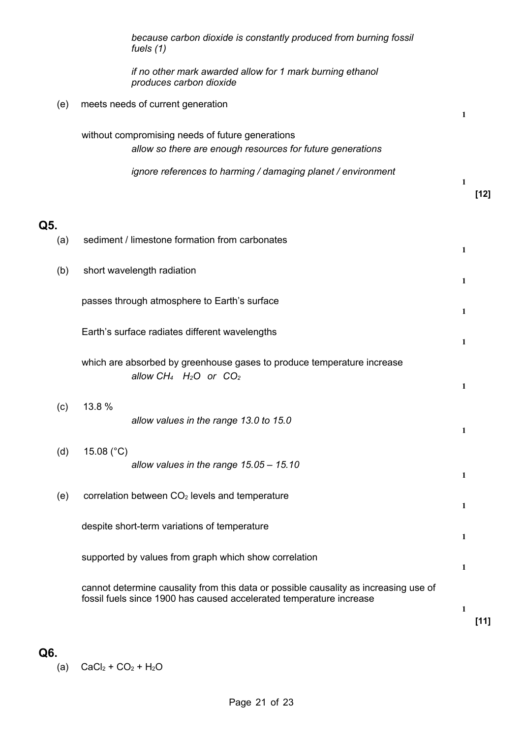|     | because carbon dioxide is constantly produced from burning fossil<br>fuels (1)                                                                              |              |        |
|-----|-------------------------------------------------------------------------------------------------------------------------------------------------------------|--------------|--------|
|     | if no other mark awarded allow for 1 mark burning ethanol<br>produces carbon dioxide                                                                        |              |        |
| (e) | meets needs of current generation                                                                                                                           | 1            |        |
|     | without compromising needs of future generations<br>allow so there are enough resources for future generations                                              |              |        |
|     | ignore references to harming / damaging planet / environment                                                                                                | 1            | $[12]$ |
| Q5. |                                                                                                                                                             |              |        |
| (a) | sediment / limestone formation from carbonates                                                                                                              | $\mathbf{1}$ |        |
| (b) | short wavelength radiation                                                                                                                                  | 1            |        |
|     | passes through atmosphere to Earth's surface                                                                                                                | 1            |        |
|     | Earth's surface radiates different wavelengths                                                                                                              | 1            |        |
|     | which are absorbed by greenhouse gases to produce temperature increase<br>allow $CH_4$ $H_2O$ or $CO_2$                                                     | 1            |        |
| (c) | 13.8 %<br>allow values in the range 13.0 to 15.0                                                                                                            | 1            |        |
| (d) | 15.08 $(^{\circ}C)$<br>allow values in the range $15.05 - 15.10$                                                                                            |              |        |
| (e) | correlation between CO <sub>2</sub> levels and temperature                                                                                                  | 1            |        |
|     |                                                                                                                                                             | 1            |        |
|     | despite short-term variations of temperature                                                                                                                | 1            |        |
|     | supported by values from graph which show correlation                                                                                                       | 1            |        |
|     | cannot determine causality from this data or possible causality as increasing use of<br>fossil fuels since 1900 has caused accelerated temperature increase | 1            | $[11]$ |

(a)  $CaCl<sub>2</sub> + CO<sub>2</sub> + H<sub>2</sub>O$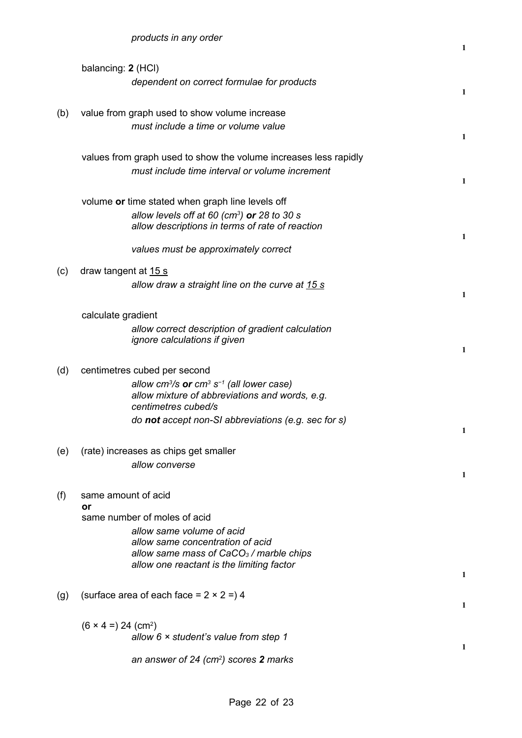|     |                                        |                                                                              | $\mathbf{1}$ |
|-----|----------------------------------------|------------------------------------------------------------------------------|--------------|
|     | balancing: 2 (HCI)                     |                                                                              |              |
|     |                                        | dependent on correct formulae for products                                   | 1            |
|     |                                        |                                                                              |              |
| (b) |                                        | value from graph used to show volume increase                                |              |
|     |                                        | must include a time or volume value                                          | $\mathbf{1}$ |
|     |                                        | values from graph used to show the volume increases less rapidly             |              |
|     |                                        | must include time interval or volume increment                               |              |
|     |                                        |                                                                              | 1            |
|     |                                        | volume or time stated when graph line levels off                             |              |
|     |                                        | allow levels off at 60 (cm <sup>3</sup> ) or 28 to 30 s                      |              |
|     |                                        | allow descriptions in terms of rate of reaction                              | 1            |
|     |                                        | values must be approximately correct                                         |              |
| (c) | draw tangent at 15 s                   |                                                                              |              |
|     |                                        | allow draw a straight line on the curve at 15 s                              |              |
|     |                                        |                                                                              | $\mathbf{1}$ |
|     | calculate gradient                     |                                                                              |              |
|     |                                        | allow correct description of gradient calculation                            |              |
|     |                                        | ignore calculations if given                                                 | 1            |
|     |                                        |                                                                              |              |
| (d) |                                        | centimetres cubed per second                                                 |              |
|     |                                        | allow cm <sup>3</sup> /s or cm <sup>3</sup> s <sup>-1</sup> (all lower case) |              |
|     |                                        | allow mixture of abbreviations and words, e.g.<br>centimetres cubed/s        |              |
|     |                                        | do <b>not</b> accept non-SI abbreviations (e.g. sec for s)                   |              |
|     |                                        |                                                                              | 1            |
| (e) |                                        | (rate) increases as chips get smaller                                        |              |
|     |                                        | allow converse                                                               |              |
|     |                                        |                                                                              | 1            |
| (f) | same amount of acid                    |                                                                              |              |
|     | or                                     | same number of moles of acid                                                 |              |
|     |                                        | allow same volume of acid                                                    |              |
|     |                                        | allow same concentration of acid                                             |              |
|     |                                        | allow same mass of $CaCO3$ / marble chips                                    |              |
|     |                                        | allow one reactant is the limiting factor                                    | 1            |
|     |                                        | (surface area of each face = $2 \times 2 = 14$                               |              |
| (g) |                                        |                                                                              | 1            |
|     |                                        |                                                                              |              |
|     | $(6 \times 4 =) 24$ (cm <sup>2</sup> ) | allow $6 \times$ student's value from step 1                                 |              |
|     |                                        |                                                                              | 1            |
|     |                                        | an answer of 24 ( $cm2$ ) scores 2 marks                                     |              |